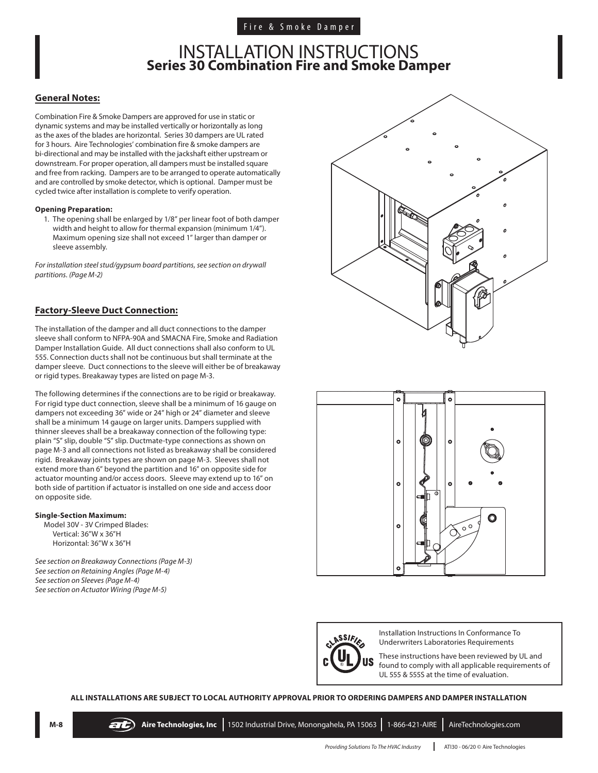### INSTALLATION INSTRUCTIONS **Series 30 Combination Fire and Smoke Damper**

### **General Notes:**

Combination Fire & Smoke Dampers are approved for use in static or dynamic systems and may be installed vertically or horizontally as long as the axes of the blades are horizontal. Series 30 dampers are UL rated for 3 hours. Aire Technologies' combination fire & smoke dampers are bi-directional and may be installed with the jackshaft either upstream or downstream. For proper operation, all dampers must be installed square and free from racking. Dampers are to be arranged to operate automatically and are controlled by smoke detector, which is optional. Damper must be cycled twice after installation is complete to verify operation.

#### **Opening Preparation:**

1. The opening shall be enlarged by 1/8" per linear foot of both damper width and height to allow for thermal expansion (minimum 1/4"). Maximum opening size shall not exceed 1" larger than damper or sleeve assembly.

*For installation steel stud/gypsum board partitions, see section on drywall partitions. (Page M-2)*

### **Factory-Sleeve Duct Connection:**

The installation of the damper and all duct connections to the damper sleeve shall conform to NFPA-90A and SMACNA Fire, Smoke and Radiation Damper Installation Guide. All duct connections shall also conform to UL 555. Connection ducts shall not be continuous but shall terminate at the damper sleeve. Duct connections to the sleeve will either be of breakaway or rigid types. Breakaway types are listed on page M-3.

The following determines if the connections are to be rigid or breakaway. For rigid type duct connection, sleeve shall be a minimum of 16 gauge on dampers not exceeding 36" wide or 24" high or 24" diameter and sleeve shall be a minimum 14 gauge on larger units. Dampers supplied with thinner sleeves shall be a breakaway connection of the following type: plain "S" slip, double "S" slip. Ductmate-type connections as shown on page M-3 and all connections not listed as breakaway shall be considered rigid. Breakaway joints types are shown on page M-3. Sleeves shall not extend more than 6" beyond the partition and 16" on opposite side for actuator mounting and/or access doors. Sleeve may extend up to 16" on both side of partition if actuator is installed on one side and access door on opposite side.

### **Single-Section Maximum:**

Model 30V - 3V Crimped Blades: Vertical: 36"W x 36"H Horizontal: 36"W x 36"H

*See section on Breakaway Connections (Page M-3) See section on Retaining Angles (Page M-4) See section on Sleeves (Page M-4) See section on Actuator Wiring (Page M-5)*







Installation Instructions In Conformance To Underwriters Laboratories Requirements

These instructions have been reviewed by UL and found to comply with all applicable requirements of UL 555 & 555S at the time of evaluation.

#### **ALL INSTALLATIONS ARE SUBJECT TO LOCAL AUTHORITY APPROVAL PRIOR TO ORDERING DAMPERS AND DAMPER INSTALLATION**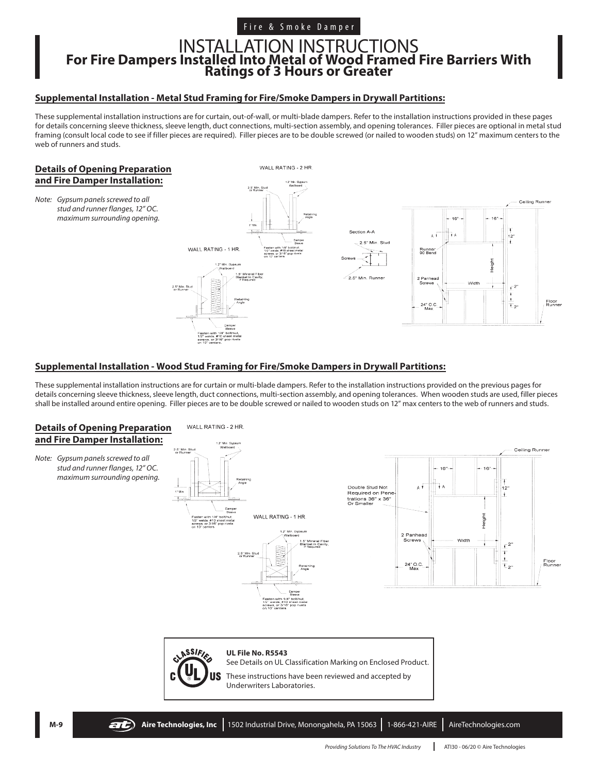# INSTALLATION INSTRUCTIONS **For Fire Dampers Installed Into Metal of Wood Framed Fire Barriers With Ratings of 3 Hours or Greater**

### **Supplemental Installation - Metal Stud Framing for Fire/Smoke Dampers in Drywall Partitions:**

These supplemental installation instructions are for curtain, out-of-wall, or multi-blade dampers. Refer to the installation instructions provided in these pages for details concerning sleeve thickness, sleeve length, duct connections, multi-section assembly, and opening tolerances. Filler pieces are optional in metal stud framing (consult local code to see if filler pieces are required). Filler pieces are to be double screwed (or nailed to wooden studs) on 12" maximum centers to the web of runners and studs.

### **Details of Opening Preparation and Fire Damper Installation:**

*Note: Gypsum panels screwed to all stud and runner flanges, 12" OC. maximum surrounding opening.*



### **Supplemental Installation - Wood Stud Framing for Fire/Smoke Dampers in Drywall Partitions:**

These supplemental installation instructions are for curtain or multi-blade dampers. Refer to the installation instructions provided on the previous pages for details concerning sleeve thickness, sleeve length, duct connections, multi-section assembly, and opening tolerances. When wooden studs are used, filler pieces shall be installed around entire opening. Filler pieces are to be double screwed or nailed to wooden studs on 12" max centers to the web of runners and studs.

### **Details of Opening Preparation and Fire Damper Installation:**

*Note: Gypsum panels screwed to all stud and runner flanges, 12" OC. maximum surrounding opening.*



2.5" Min. St







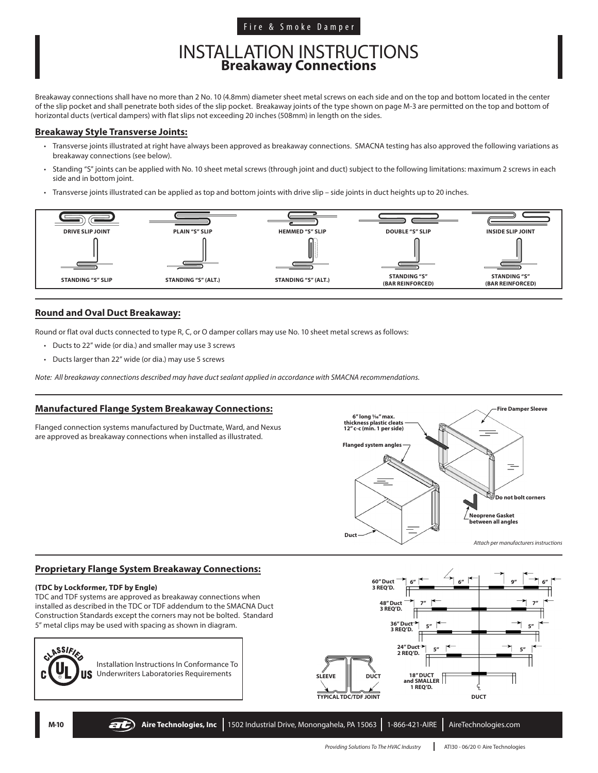### Fire & Smoke Damper

# INSTALLATION INSTRUCTIONS **Breakaway Connections**

Breakaway connections shall have no more than 2 No. 10 (4.8mm) diameter sheet metal screws on each side and on the top and bottom located in the center of the slip pocket and shall penetrate both sides of the slip pocket. Breakaway joints of the type shown on page M-3 are permitted on the top and bottom of horizontal ducts (vertical dampers) with flat slips not exceeding 20 inches (508mm) in length on the sides.

### **Breakaway Style Transverse Joints:**

- Transverse joints illustrated at right have always been approved as breakaway connections. SMACNA testing has also approved the following variations as breakaway connections (see below).
- Standing "S" joints can be applied with No. 10 sheet metal screws (through joint and duct) subject to the following limitations: maximum 2 screws in each side and in bottom joint.
- Transverse joints illustrated can be applied as top and bottom joints with drive slip side joints in duct heights up to 20 inches.



### **Round and Oval Duct Breakaway:**

Round or flat oval ducts connected to type R, C, or O damper collars may use No. 10 sheet metal screws as follows:

- Ducts to 22" wide (or dia.) and smaller may use 3 screws
- Ducts larger than 22" wide (or dia.) may use 5 screws

*Note: All breakaway connections described may have duct sealant applied in accordance with SMACNA recommendations.*

### **Manufactured Flange System Breakaway Connections:**

Flanged connection systems manufactured by Ductmate, Ward, and Nexus are approved as breakaway connections when installed as illustrated.



### **Proprietary Flange System Breakaway Connections:**

#### **(TDC by Lockformer, TDF by Engle)**

TDC and TDF systems are approved as breakaway connections when installed as described in the TDC or TDF addendum to the SMACNA Duct Construction Standards except the corners may not be bolted. Standard 5" metal clips may be used with spacing as shown in diagram.



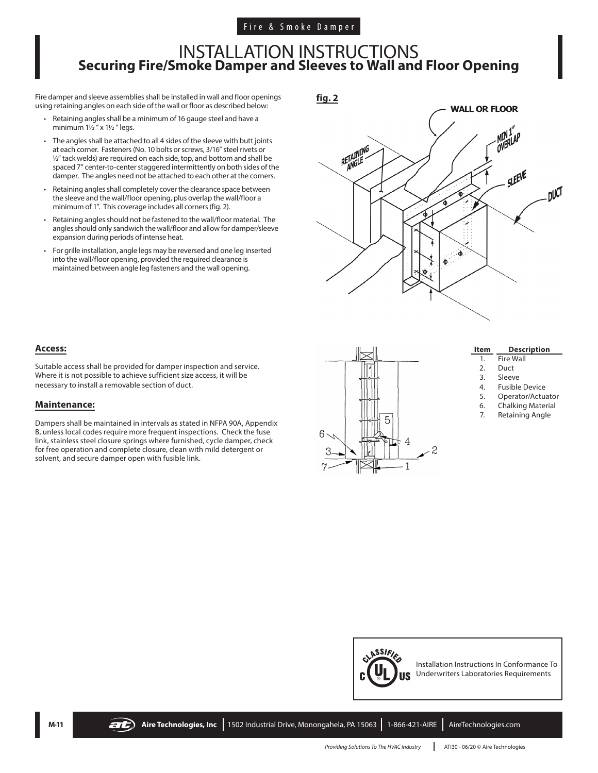## INSTALLATION INSTRUCTIONS **Securing Fire/Smoke Damper and Sleeves to Wall and Floor Opening**

Fire damper and sleeve assemblies shall be installed in wall and floor openings using retaining angles on each side of the wall or floor as described below:

- Retaining angles shall be a minimum of 16 gauge steel and have a minimum  $1\frac{1}{2}$  " x  $1\frac{1}{2}$  " legs.
- The angles shall be attached to all 4 sides of the sleeve with butt joints at each corner. Fasteners (No. 10 bolts or screws, 3/16" steel rivets or ½" tack welds) are required on each side, top, and bottom and shall be spaced 7" center-to-center staggered intermittently on both sides of the damper. The angles need not be attached to each other at the corners.
- Retaining angles shall completely cover the clearance space between the sleeve and the wall/floor opening, plus overlap the wall/floor a minimum of 1". This coverage includes all corners (fig. 2).
- Retaining angles should not be fastened to the wall/floor material. The angles should only sandwich the wall/floor and allow for damper/sleeve expansion during periods of intense heat.
- For grille installation, angle legs may be reversed and one leg inserted into the wall/floor opening, provided the required clearance is maintained between angle leg fasteners and the wall opening.

**fig. 2**



### **Access:**

Suitable access shall be provided for damper inspection and service. Where it is not possible to achieve sufficient size access, it will be necessary to install a removable section of duct.

### **Maintenance:**

Dampers shall be maintained in intervals as stated in NFPA 90A, Appendix B, unless local codes require more frequent inspections. Check the fuse link, stainless steel closure springs where furnished, cycle damper, check for free operation and complete closure, clean with mild detergent or solvent, and secure damper open with fusible link.



| ltem | <b>Description</b> |
|------|--------------------|
|      | Fire Wall          |

- 2. Duct
- 3. Sleeve
- 4. Fusible Device
- 5. Operator/Actuator
- 6. Chalking Material
- 7. Retaining Angle



**M-11 Aire Technologies, Inc** 1502 Industrial Drive, Monongahela, PA 15063 1-866-421-AIRE AireTechnologies.com